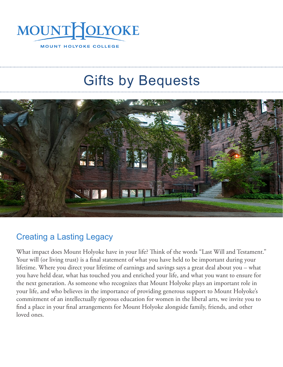

# Gifts by Bequests



### Creating a Lasting Legacy

What impact does Mount Holyoke have in your life? Think of the words "Last Will and Testament." Your will (or living trust) is a final statement of what you have held to be important during your lifetime. Where you direct your lifetime of earnings and savings says a great deal about you – what you have held dear, what has touched you and enriched your life, and what you want to ensure for the next generation. As someone who recognizes that Mount Holyoke plays an important role in your life, and who believes in the importance of providing generous support to Mount Holyoke's commitment of an intellectually rigorous education for women in the liberal arts, we invite you to find a place in your final arrangements for Mount Holyoke alongside family, friends, and other loved ones.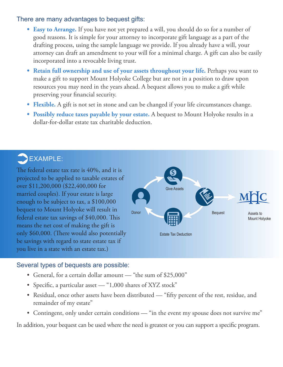### There are many advantages to bequest gifts:

- **• Easy to Arrange.** If you have not yet prepared a will, you should do so for a number of good reasons. It is simple for your attorney to incorporate gift language as a part of the drafting process, using the sample language we provide. If you already have a will, your attorney can draft an amendment to your will for a minimal charge. A gift can also be easily incorporated into a revocable living trust.
- **Retain full ownership and use of your assets throughout your life. Perhaps you want to** make a gift to support Mount Holyoke College but are not in a position to draw upon resources you may need in the years ahead. A bequest allows you to make a gift while preserving your financial security.
- **• Flexible.** A gift is not set in stone and can be changed if your life circumstances change.
- **• Possibly reduce taxes payable by your estate.** A bequest to Mount Holyoke results in a dollar-for-dollar estate tax charitable deduction.

# $\sum$ EXAMPLE:

The federal estate tax rate is 40%, and it is projected to be applied to taxable estates of over \$11,200,000 (\$22,400,000 for married couples). If your estate is large enough to be subject to tax, a \$100,000 bequest to Mount Holyoke will result in federal estate tax savings of \$40,000. This means the net cost of making the gift is only \$60,000. (There would also potentially be savings with regard to state estate tax if you live in a state with an estate tax.)



### Several types of bequests are possible:

- General, for a certain dollar amount "the sum of \$25,000"
- Specific, a particular asset "1,000 shares of XYZ stock"
- Residual, once other assets have been distributed "fifty percent of the rest, residue, and remainder of my estate"
- Contingent, only under certain conditions "in the event my spouse does not survive me"

In addition, your bequest can be used where the need is greatest or you can support a specific program.